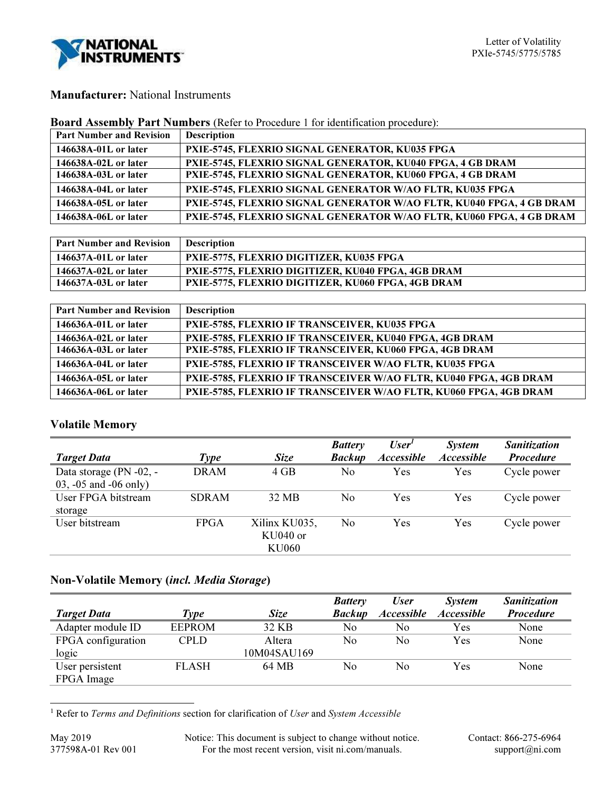

## Manufacturer: National Instruments

| <b>Board Assembly Part Numbers</b> (Refer to Procedure 1 for identification procedure): |  |  |
|-----------------------------------------------------------------------------------------|--|--|
|-----------------------------------------------------------------------------------------|--|--|

| <b>Part Number and Revision</b> | <b>Description</b>                                                   |
|---------------------------------|----------------------------------------------------------------------|
| 146638A-01L or later            | PXIE-5745, FLEXRIO SIGNAL GENERATOR, KU035 FPGA                      |
| 146638A-02L or later            | PXIE-5745, FLEXRIO SIGNAL GENERATOR, KU040 FPGA, 4 GB DRAM           |
| 146638A-03L or later            | PXIE-5745, FLEXRIO SIGNAL GENERATOR, KU060 FPGA, 4 GB DRAM           |
| 146638A-04L or later            | PXIE-5745, FLEXRIO SIGNAL GENERATOR W/AO FLTR, KU035 FPGA            |
| 146638A-05L or later            | PXIE-5745, FLEXRIO SIGNAL GENERATOR W/AO FLTR, KU040 FPGA, 4 GB DRAM |
| 146638A-06L or later            | PXIE-5745, FLEXRIO SIGNAL GENERATOR W/AO FLTR, KU060 FPGA, 4 GB DRAM |

| <b>Part Number and Revision</b> | <b>Description</b>                                 |
|---------------------------------|----------------------------------------------------|
| 146637A-01L or later            | <b>PXIE-5775, FLEXRIO DIGITIZER, KU035 FPGA</b>    |
| 146637A-02L or later            | PXIE-5775, FLEXRIO DIGITIZER, KU040 FPGA, 4GB DRAM |
| 146637A-03L or later            | PXIE-5775, FLEXRIO DIGITIZER, KU060 FPGA, 4GB DRAM |

| <b>Part Number and Revision</b> | <b>Description</b>                                                |
|---------------------------------|-------------------------------------------------------------------|
| 146636A-01L or later            | PXIE-5785, FLEXRIO IF TRANSCEIVER, KU035 FPGA                     |
| 146636A-02L or later            | PXIE-5785, FLEXRIO IF TRANSCEIVER, KU040 FPGA, 4GB DRAM           |
| 146636A-03L or later            | PXIE-5785, FLEXRIO IF TRANSCEIVER, KU060 FPGA, 4GB DRAM           |
| 146636A-04L or later            | PXIE-5785, FLEXRIO IF TRANSCEIVER W/AO FLTR, KU035 FPGA           |
| 146636A-05L or later            | PXIE-5785, FLEXRIO IF TRANSCEIVER W/AO FLTR, KU040 FPGA, 4GB DRAM |
| 146636A-06L or later            | PXIE-5785, FLEXRIO IF TRANSCEIVER W/AO FLTR, KU060 FPGA, 4GB DRAM |

# Volatile Memory

|                           |              |               | <b>Battery</b> | $\iota$ User <sup>1</sup> | <b>System</b>     | <b>Sanitization</b> |
|---------------------------|--------------|---------------|----------------|---------------------------|-------------------|---------------------|
| <b>Target Data</b>        | Type         | <b>Size</b>   | <b>Backup</b>  | <b>Accessible</b>         | <b>Accessible</b> | <b>Procedure</b>    |
| Data storage (PN -02, -   | <b>DRAM</b>  | 4 GB          | No             | Yes                       | Yes               | Cycle power         |
| $03, -05$ and $-06$ only) |              |               |                |                           |                   |                     |
| User FPGA bitstream       | <b>SDRAM</b> | 32 MB         | No             | Yes                       | Yes               | Cycle power         |
| storage                   |              |               |                |                           |                   |                     |
| User bitstream            | <b>FPGA</b>  | Xilinx KU035, | No             | Yes                       | Yes               | Cycle power         |
|                           |              | KU040 or      |                |                           |                   |                     |
|                           |              | <b>KU060</b>  |                |                           |                   |                     |

# Non-Volatile Memory (incl. Media Storage)

|                    |               |             | <b>Battery</b> | <b>User</b>              | System            | <b>Sanitization</b> |
|--------------------|---------------|-------------|----------------|--------------------------|-------------------|---------------------|
| <b>Target Data</b> | <b>Type</b>   | <i>Size</i> | <b>Backup</b>  | <i><b>Accessible</b></i> | <b>Accessible</b> | <b>Procedure</b>    |
| Adapter module ID  | <b>EEPROM</b> | 32 KB       | No             | No                       | Yes               | None                |
| FPGA configuration | CPLD          | Altera      | No             | No                       | Yes               | None                |
| logic              |               | 10M04SAU169 |                |                          |                   |                     |
| User persistent    | <b>FLASH</b>  | 64 MB       | No             | No                       | Yes               | None                |
| FPGA Image         |               |             |                |                          |                   |                     |

-<sup>1</sup> Refer to Terms and Definitions section for clarification of User and System Accessible

May 2019 Notice: This document is subject to change without notice. Contact: 866-275-6964<br>377598A-01 Rev 001 For the most recent version, visit ni.com/manuals. support@ni.com For the most recent version, visit ni.com/manuals.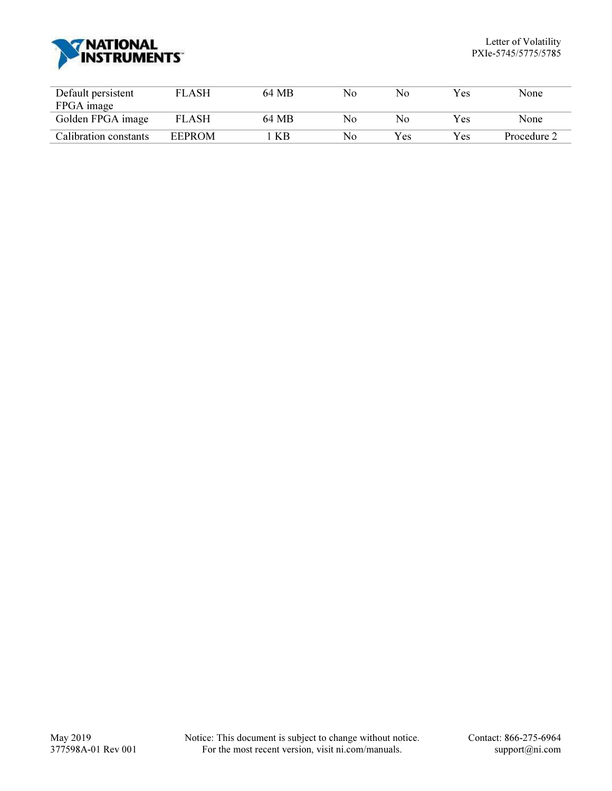

| Default persistent    | <b>FLASH</b> | 64 MB | No | No. | Yes | None        |
|-----------------------|--------------|-------|----|-----|-----|-------------|
| FPGA image            |              |       |    |     |     |             |
| Golden FPGA image     | <b>FLASH</b> | 64 MB | No | Nο  | Yes | None        |
| Calibration constants | EEPROM       | КB    | No | Yes | Yes | Procedure 2 |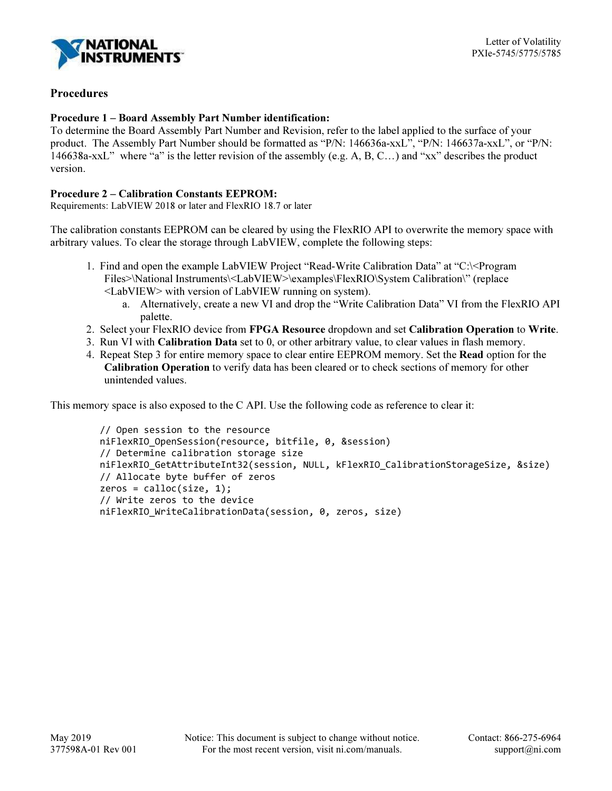

### **Procedures**

#### Procedure 1 – Board Assembly Part Number identification:

To determine the Board Assembly Part Number and Revision, refer to the label applied to the surface of your product. The Assembly Part Number should be formatted as "P/N: 146636a-xxL", "P/N: 146637a-xxL", or "P/N: 146638a-xxL" where "a" is the letter revision of the assembly (e.g. A, B, C…) and "xx" describes the product version.

#### Procedure 2 – Calibration Constants EEPROM:

Requirements: LabVIEW 2018 or later and FlexRIO 18.7 or later

The calibration constants EEPROM can be cleared by using the FlexRIO API to overwrite the memory space with arbitrary values. To clear the storage through LabVIEW, complete the following steps:

- 1. Find and open the example LabVIEW Project "Read-Write Calibration Data" at "C:\<Program Files>\National Instruments\<LabVIEW>\examples\FlexRIO\System Calibration\" (replace <LabVIEW> with version of LabVIEW running on system).
	- a. Alternatively, create a new VI and drop the "Write Calibration Data" VI from the FlexRIO API palette.
- 2. Select your FlexRIO device from FPGA Resource dropdown and set Calibration Operation to Write.
- 3. Run VI with Calibration Data set to 0, or other arbitrary value, to clear values in flash memory.
- 4. Repeat Step 3 for entire memory space to clear entire EEPROM memory. Set the Read option for the Calibration Operation to verify data has been cleared or to check sections of memory for other unintended values.

This memory space is also exposed to the C API. Use the following code as reference to clear it:

```
 // Open session to the resource 
 niFlexRIO_OpenSession(resource, bitfile, 0, &session) 
 // Determine calibration storage size 
 niFlexRIO_GetAttributeInt32(session, NULL, kFlexRIO_CalibrationStorageSize, &size) 
 // Allocate byte buffer of zeros 
zeros = calloc(size, 1); // Write zeros to the device 
niFlexRIO WriteCalibrationData(session, 0, zeros, size)
```